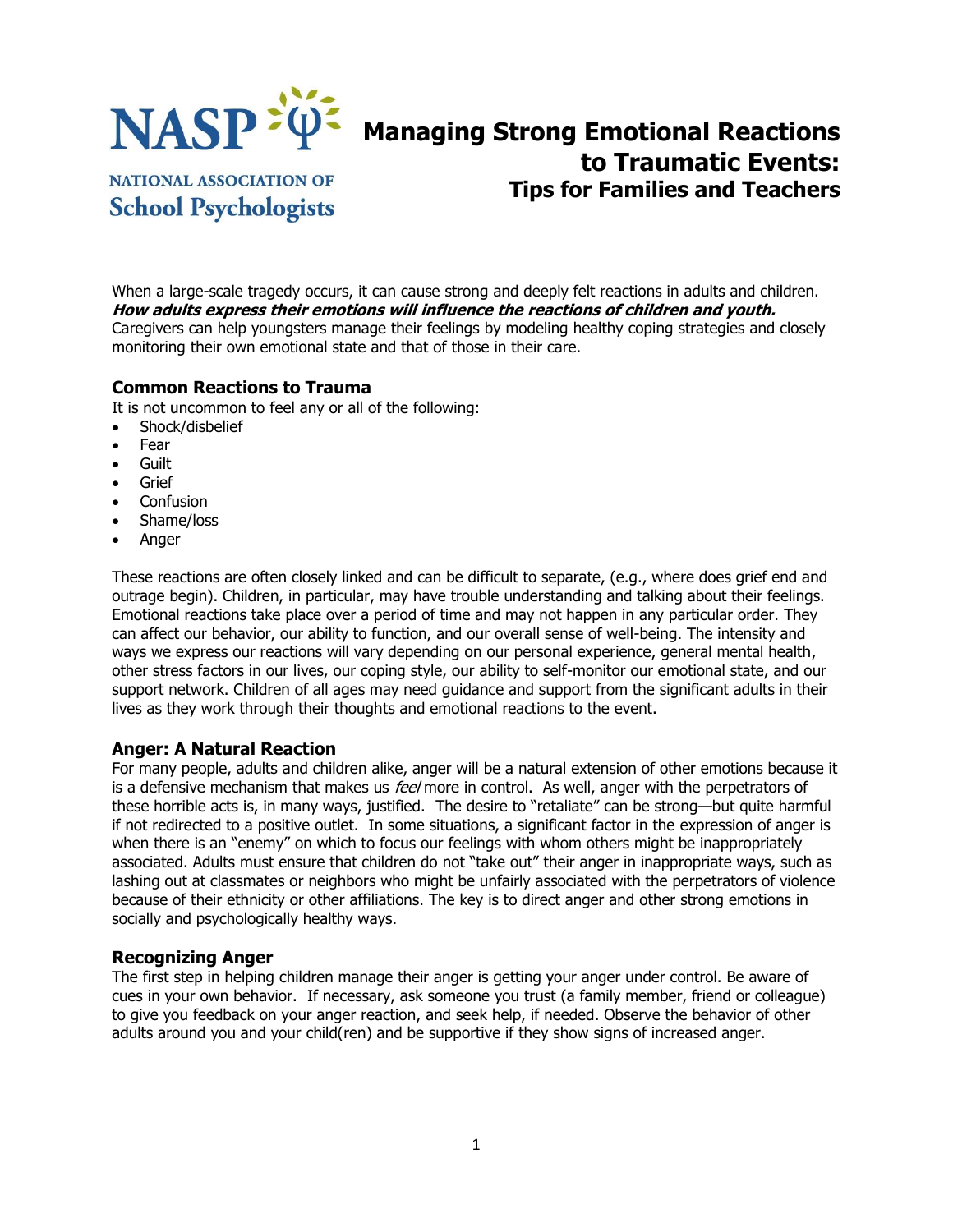

# **Managing Strong Emotional Reactions to Traumatic Events: Tips for Families and Teachers**

**NATIONAL ASSOCIATION OF School Psychologists** 

When a large-scale tragedy occurs, it can cause strong and deeply felt reactions in adults and children. **How adults express their emotions will influence the reactions of children and youth.** Caregivers can help youngsters manage their feelings by modeling healthy coping strategies and closely monitoring their own emotional state and that of those in their care.

#### **Common Reactions to Trauma**

It is not uncommon to feel any or all of the following:

- Shock/disbelief
- Fear
- Guilt
- Grief
- Confusion
- Shame/loss
- Anger

These reactions are often closely linked and can be difficult to separate, (e.g., where does grief end and outrage begin). Children, in particular, may have trouble understanding and talking about their feelings. Emotional reactions take place over a period of time and may not happen in any particular order. They can affect our behavior, our ability to function, and our overall sense of well-being. The intensity and ways we express our reactions will vary depending on our personal experience, general mental health, other stress factors in our lives, our coping style, our ability to self-monitor our emotional state, and our support network. Children of all ages may need guidance and support from the significant adults in their lives as they work through their thoughts and emotional reactions to the event.

#### **Anger: A Natural Reaction**

For many people, adults and children alike, anger will be a natural extension of other emotions because it is a defensive mechanism that makes us feel more in control. As well, anger with the perpetrators of these horrible acts is, in many ways, justified. The desire to "retaliate" can be strong—but quite harmful if not redirected to a positive outlet. In some situations, a significant factor in the expression of anger is when there is an "enemy" on which to focus our feelings with whom others might be inappropriately associated. Adults must ensure that children do not "take out" their anger in inappropriate ways, such as lashing out at classmates or neighbors who might be unfairly associated with the perpetrators of violence because of their ethnicity or other affiliations. The key is to direct anger and other strong emotions in socially and psychologically healthy ways.

#### **Recognizing Anger**

The first step in helping children manage their anger is getting your anger under control. Be aware of cues in your own behavior. If necessary, ask someone you trust (a family member, friend or colleague) to give you feedback on your anger reaction, and seek help, if needed. Observe the behavior of other adults around you and your child(ren) and be supportive if they show signs of increased anger.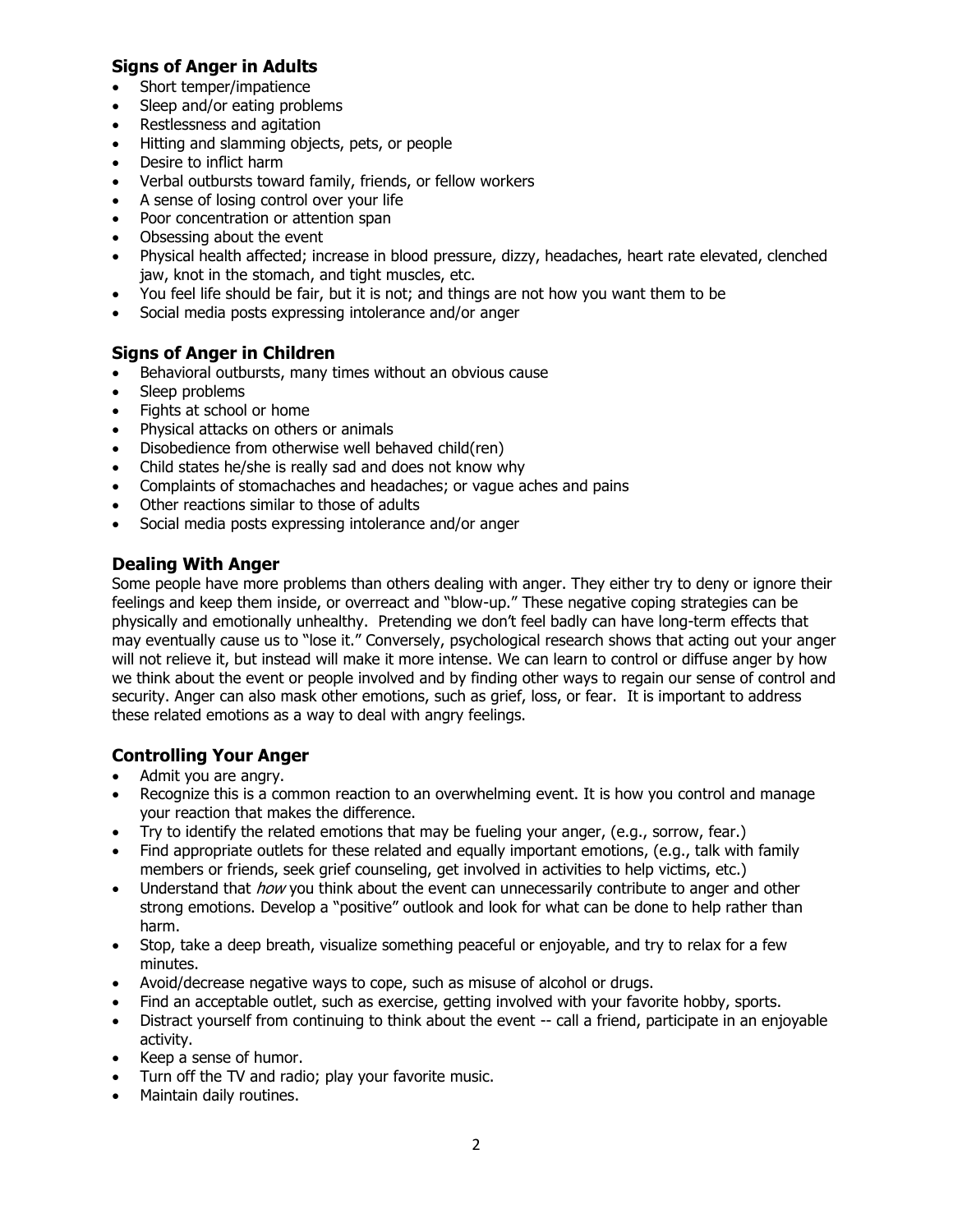# **Signs of Anger in Adults**

- Short temper/impatience
- Sleep and/or eating problems
- Restlessness and agitation
- Hitting and slamming objects, pets, or people
- Desire to inflict harm
- Verbal outbursts toward family, friends, or fellow workers
- A sense of losing control over your life
- Poor concentration or attention span
- Obsessing about the event
- Physical health affected; increase in blood pressure, dizzy, headaches, heart rate elevated, clenched jaw, knot in the stomach, and tight muscles, etc.
- You feel life should be fair, but it is not; and things are not how you want them to be
- Social media posts expressing intolerance and/or anger

# **Signs of Anger in Children**

- Behavioral outbursts, many times without an obvious cause
- Sleep problems
- Fights at school or home
- Physical attacks on others or animals
- Disobedience from otherwise well behaved child(ren)
- Child states he/she is really sad and does not know why
- Complaints of stomachaches and headaches; or vague aches and pains
- Other reactions similar to those of adults
- Social media posts expressing intolerance and/or anger

## **Dealing With Anger**

Some people have more problems than others dealing with anger. They either try to deny or ignore their feelings and keep them inside, or overreact and "blow-up." These negative coping strategies can be physically and emotionally unhealthy. Pretending we don't feel badly can have long-term effects that may eventually cause us to "lose it." Conversely, psychological research shows that acting out your anger will not relieve it, but instead will make it more intense. We can learn to control or diffuse anger by how we think about the event or people involved and by finding other ways to regain our sense of control and security. Anger can also mask other emotions, such as grief, loss, or fear. It is important to address these related emotions as a way to deal with angry feelings.

# **Controlling Your Anger**

- Admit you are angry.
- Recognize this is a common reaction to an overwhelming event. It is how you control and manage your reaction that makes the difference.
- Try to identify the related emotions that may be fueling your anger, (e.g., sorrow, fear.)
- Find appropriate outlets for these related and equally important emotions, (e.g., talk with family members or friends, seek grief counseling, get involved in activities to help victims, etc.)
- Understand that *how* you think about the event can unnecessarily contribute to anger and other strong emotions. Develop a "positive" outlook and look for what can be done to help rather than harm.
- Stop, take a deep breath, visualize something peaceful or enjoyable, and try to relax for a few minutes.
- Avoid/decrease negative ways to cope, such as misuse of alcohol or drugs.
- Find an acceptable outlet, such as exercise, getting involved with your favorite hobby, sports.
- Distract yourself from continuing to think about the event -- call a friend, participate in an enjoyable activity.
- Keep a sense of humor.
- Turn off the TV and radio; play your favorite music.
- Maintain daily routines.